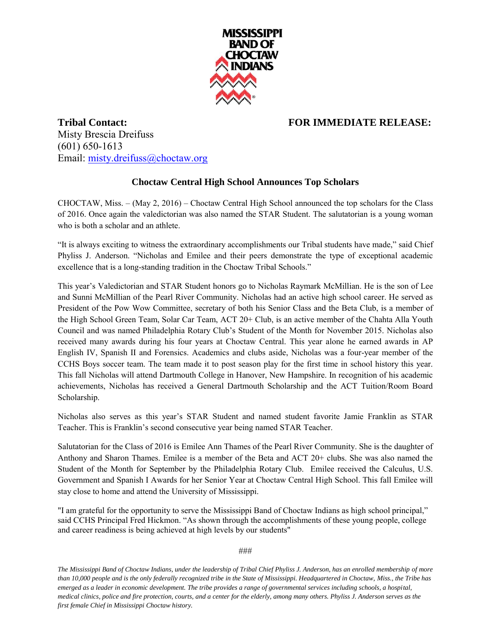

**Tribal Contact: FOR IMMEDIATE RELEASE:**  Misty Brescia Dreifuss (601) 650-1613 Email: [misty.dreifuss@choctaw.org](mailto:misty.dreifuss@choctaw.org)

## **Choctaw Central High School Announces Top Scholars**

CHOCTAW, Miss. – (May 2, 2016) – Choctaw Central High School announced the top scholars for the Class of 2016. Once again the valedictorian was also named the STAR Student. The salutatorian is a young woman who is both a scholar and an athlete.

"It is always exciting to witness the extraordinary accomplishments our Tribal students have made," said Chief Phyliss J. Anderson. "Nicholas and Emilee and their peers demonstrate the type of exceptional academic excellence that is a long-standing tradition in the Choctaw Tribal Schools."

This year's Valedictorian and STAR Student honors go to Nicholas Raymark McMillian. He is the son of Lee and Sunni McMillian of the Pearl River Community. Nicholas had an active high school career. He served as President of the Pow Wow Committee, secretary of both his Senior Class and the Beta Club, is a member of the High School Green Team, Solar Car Team, ACT 20+ Club, is an active member of the Chahta Alla Youth Council and was named Philadelphia Rotary Club's Student of the Month for November 2015. Nicholas also received many awards during his four years at Choctaw Central. This year alone he earned awards in AP English IV, Spanish II and Forensics. Academics and clubs aside, Nicholas was a four-year member of the CCHS Boys soccer team. The team made it to post season play for the first time in school history this year. This fall Nicholas will attend Dartmouth College in Hanover, New Hampshire. In recognition of his academic achievements, Nicholas has received a General Dartmouth Scholarship and the ACT Tuition/Room Board Scholarship.

Nicholas also serves as this year's STAR Student and named student favorite Jamie Franklin as STAR Teacher. This is Franklin's second consecutive year being named STAR Teacher.

Salutatorian for the Class of 2016 is Emilee Ann Thames of the Pearl River Community. She is the daughter of Anthony and Sharon Thames. Emilee is a member of the Beta and ACT 20+ clubs. She was also named the Student of the Month for September by the Philadelphia Rotary Club. Emilee received the Calculus, U.S. Government and Spanish I Awards for her Senior Year at Choctaw Central High School. This fall Emilee will stay close to home and attend the University of Mississippi.

"I am grateful for the opportunity to serve the Mississippi Band of Choctaw Indians as high school principal," said CCHS Principal Fred Hickmon. "As shown through the accomplishments of these young people, college and career readiness is being achieved at high levels by our students"

###

*The Mississippi Band of Choctaw Indians, under the leadership of Tribal Chief Phyliss J. Anderson, has an enrolled membership of more than 10,000 people and is the only federally recognized tribe in the State of Mississippi. Headquartered in Choctaw, Miss., the Tribe has emerged as a leader in economic development. The tribe provides a range of governmental services including schools, a hospital, medical clinics, police and fire protection, courts, and a center for the elderly, among many others. Phyliss J. Anderson serves as the first female Chief in Mississippi Choctaw history.*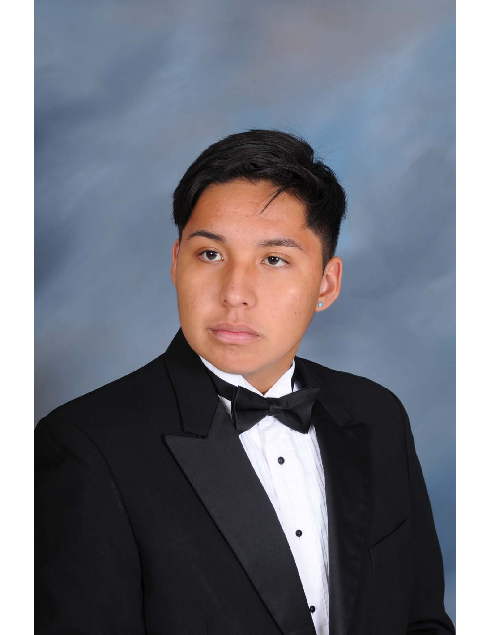